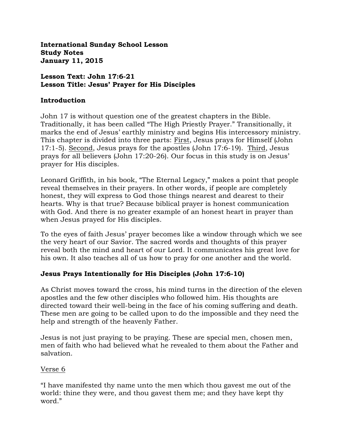**International Sunday School Lesson Study Notes January 11, 2015**

#### **Lesson Text: John 17:6-21 Lesson Title: Jesus' Prayer for His Disciples**

#### **Introduction**

John 17 is without question one of the greatest chapters in the Bible. Traditionally, it has been called "The High Priestly Prayer." Transitionally, it marks the end of Jesus' earthly ministry and begins His intercessory ministry. This chapter is divided into three parts: First, Jesus prays for Himself (John 17:1-5). Second, Jesus prays for the apostles (John 17:6-19). Third, Jesus prays for all believers (John 17:20-26). Our focus in this study is on Jesus' prayer for His disciples.

Leonard Griffith, in his book, "The Eternal Legacy," makes a point that people reveal themselves in their prayers. In other words, if people are completely honest, they will express to God those things nearest and dearest to their hearts. Why is that true? Because biblical prayer is honest communication with God. And there is no greater example of an honest heart in prayer than when Jesus prayed for His disciples.

To the eyes of faith Jesus' prayer becomes like a window through which we see the very heart of our Savior. The sacred words and thoughts of this prayer reveal both the mind and heart of our Lord. It communicates his great love for his own. It also teaches all of us how to pray for one another and the world.

# **Jesus Prays Intentionally for His Disciples (John 17:6-10)**

As Christ moves toward the cross, his mind turns in the direction of the eleven apostles and the few other disciples who followed him. His thoughts are directed toward their well-being in the face of his coming suffering and death. These men are going to be called upon to do the impossible and they need the help and strength of the heavenly Father.

Jesus is not just praying to be praying. These are special men, chosen men, men of faith who had believed what he revealed to them about the Father and salvation.

# Verse 6

"I have manifested thy name unto the men which thou gavest me out of the world: thine they were, and thou gavest them me; and they have kept thy word."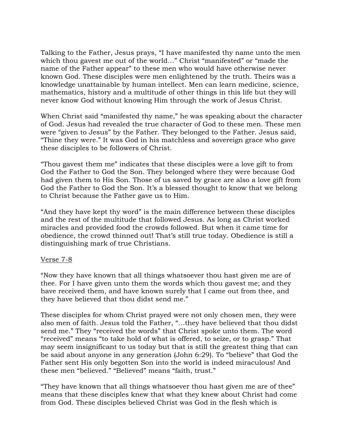Talking to the Father, Jesus prays, "I have manifested thy name unto the men which thou gavest me out of the world..." Christ "manifested" or "made the name of the Father appear" to these men who would have otherwise never known God. These disciples were men enlightened by the truth. Theirs was a knowledge unattainable by human intellect. Men can learn medicine, science, mathematics, history and a multitude of other things in this life but they will never know God without knowing Him through the work of Jesus Christ.

When Christ said "manifested thy name," he was speaking about the character of God. Jesus had revealed the true character of God to these men. These men were "given to Jesus" by the Father. They belonged to the Father. Jesus said, "Thine they were." It was God in his matchless and sovereign grace who gave these disciples to be followers of Christ.

"Thou gavest them me" indicates that these disciples were a love gift to from God the Father to God the Son. They belonged where they were because God had given them to His Son. Those of us saved by grace are also a love gift from God the Father to God the Son. It's a blessed thought to know that we belong to Christ because the Father gave us to Him.

"And they have kept thy word" is the main difference between these disciples and the rest of the multitude that followed Jesus. As long as Christ worked miracles and provided food the crowds followed. But when it came time for obedience, the crowd thinned out! That's still true today. Obedience is still a distinguishing mark of true Christians.

#### Verse 7-8

"Now they have known that all things whatsoever thou hast given me are of thee. For I have given unto them the words which thou gavest me; and they have received them, and have known surely that I came out from thee, and they have believed that thou didst send me."

These disciples for whom Christ prayed were not only chosen men, they were also men of faith. Jesus told the Father, "…they have believed that thou didst send me." They "received the words" that Christ spoke unto them. The word "received" means "to take hold of what is offered, to seize, or to grasp." That may seem insignificant to us today but that is still the greatest thing that can be said about anyone in any generation (John 6:29). To "believe" that God the Father sent His only begotten Son into the world is indeed miraculous! And these men "believed." "Believed" means "faith, trust."

"They have known that all things whatsoever thou hast given me are of thee" means that these disciples knew that what they knew about Christ had come from God. These disciples believed Christ was God in the flesh which is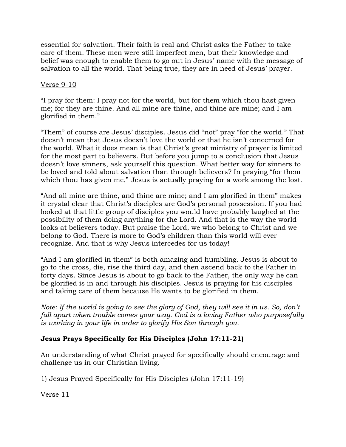essential for salvation. Their faith is real and Christ asks the Father to take care of them. These men were still imperfect men, but their knowledge and belief was enough to enable them to go out in Jesus' name with the message of salvation to all the world. That being true, they are in need of Jesus' prayer.

## Verse 9-10

"I pray for them: I pray not for the world, but for them which thou hast given me; for they are thine. And all mine are thine, and thine are mine; and I am glorified in them."

"Them" of course are Jesus' disciples. Jesus did "not" pray "for the world." That doesn't mean that Jesus doesn't love the world or that he isn't concerned for the world. What it does mean is that Christ's great ministry of prayer is limited for the most part to believers. But before you jump to a conclusion that Jesus doesn't love sinners, ask yourself this question. What better way for sinners to be loved and told about salvation than through believers? In praying "for them which thou has given me," Jesus is actually praying for a work among the lost.

"And all mine are thine, and thine are mine; and I am glorified in them" makes it crystal clear that Christ's disciples are God's personal possession. If you had looked at that little group of disciples you would have probably laughed at the possibility of them doing anything for the Lord. And that is the way the world looks at believers today. But praise the Lord, we who belong to Christ and we belong to God. There is more to God's children than this world will ever recognize. And that is why Jesus intercedes for us today!

"And I am glorified in them" is both amazing and humbling. Jesus is about to go to the cross, die, rise the third day, and then ascend back to the Father in forty days. Since Jesus is about to go back to the Father, the only way he can be glorified is in and through his disciples. Jesus is praying for his disciples and taking care of them because He wants to be glorified in them.

*Note: If the world is going to see the glory of God, they will see it in us. So, don't* fall apart when trouble comes your way. God is a loving Father who purposefully *is working in your life in order to glorify His Son through you.*

# **Jesus Prays Specifically for His Disciples (John 17:11-21)**

An understanding of what Christ prayed for specifically should encourage and challenge us in our Christian living.

1) Jesus Prayed Specifically for His Disciples (John 17:11-19)

Verse 11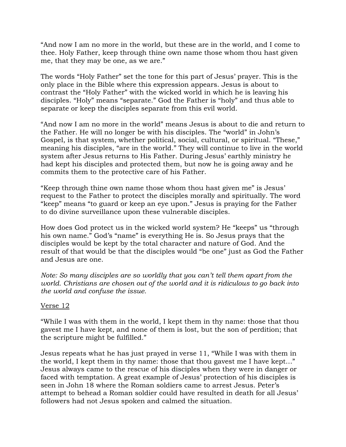"And now I am no more in the world, but these are in the world, and I come to thee. Holy Father, keep through thine own name those whom thou hast given me, that they may be one, as we are."

The words "Holy Father" set the tone for this part of Jesus' prayer. This is the only place in the Bible where this expression appears. Jesus is about to contrast the "Holy Father" with the wicked world in which he is leaving his disciples. "Holy" means "separate." God the Father is "holy" and thus able to separate or keep the disciples separate from this evil world.

"And now I am no more in the world" means Jesus is about to die and return to the Father. He will no longer be with his disciples. The "world" in John's Gospel, is that system, whether political, social, cultural, or spiritual. "These," meaning his disciples, "are in the world." They will continue to live in the world system after Jesus returns to His Father. During Jesus' earthly ministry he had kept his disciples and protected them, but now he is going away and he commits them to the protective care of his Father.

"Keep through thine own name those whom thou hast given me" is Jesus' request to the Father to protect the disciples morally and spiritually. The word "keep" means "to guard or keep an eye upon." Jesus is praying for the Father to do divine surveillance upon these vulnerable disciples.

How does God protect us in the wicked world system? He "keeps" us "through his own name." God's "name" is everything He is. So Jesus prays that the disciples would be kept by the total character and nature of God. And the result of that would be that the disciples would "be one" just as God the Father and Jesus are one.

*Note: So many disciples are so worldly that you can't tell them apart from the world. Christians are chosen out of the world and it is ridiculous to go back into the world and confuse the issue.*

# Verse 12

"While I was with them in the world, I kept them in thy name: those that thou gavest me I have kept, and none of them is lost, but the son of perdition; that the scripture might be fulfilled."

Jesus repeats what he has just prayed in verse 11, "While I was with them in the world, I kept them in thy name: those that thou gavest me I have kept…" Jesus always came to the rescue of his disciples when they were in danger or faced with temptation. A great example of Jesus' protection of his disciples is seen in John 18 where the Roman soldiers came to arrest Jesus. Peter's attempt to behead a Roman soldier could have resulted in death for all Jesus' followers had not Jesus spoken and calmed the situation.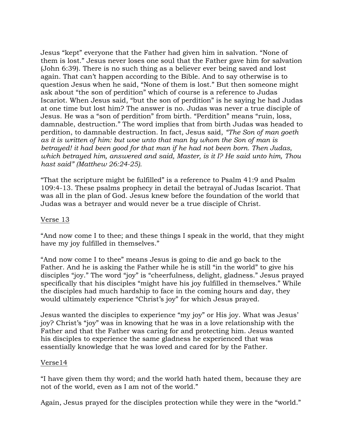Jesus "kept" everyone that the Father had given him in salvation. "None of them is lost." Jesus never loses one soul that the Father gave him for salvation (John 6:39). There is no such thing as a believer ever being saved and lost again. That can't happen according to the Bible. And to say otherwise is to question Jesus when he said, "None of them is lost." But then someone might ask about "the son of perdition" which of course is a reference to Judas Iscariot. When Jesus said, "but the son of perdition" is he saying he had Judas at one time but lost him? The answer is no. Judas was never a true disciple of Jesus. He was a "son of perdition" from birth. "Perdition" means "ruin, loss, damnable, destruction." The word implies that from birth Judas was headed to perdition, to damnable destruction. In fact, Jesus said, *"The Son of man goeth as it is written of him: but woe unto that man by whom the Son of man is betrayed! it had been good for that man if he had not been born. Then Judas, which betrayed him, answered and said, Master, is it I? He said unto him, Thou hast said" (Matthew 26:24-25).*

"That the scripture might be fulfilled" is a reference to Psalm 41:9 and Psalm 109:4-13. These psalms prophecy in detail the betrayal of Judas Iscariot. That was all in the plan of God. Jesus knew before the foundation of the world that Judas was a betrayer and would never be a true disciple of Christ.

#### Verse 13

"And now come I to thee; and these things I speak in the world, that they might have my joy fulfilled in themselves."

"And now come I to thee" means Jesus is going to die and go back to the Father. And he is asking the Father while he is still "in the world" to give his disciples "joy." The word "joy" is "cheerfulness, delight, gladness." Jesus prayed specifically that his disciples "might have his joy fulfilled in themselves." While the disciples had much hardship to face in the coming hours and day, they would ultimately experience "Christ's joy" for which Jesus prayed.

Jesus wanted the disciples to experience "my joy" or His joy. What was Jesus' joy? Christ's "joy" was in knowing that he was in a love relationship with the Father and that the Father was caring for and protecting him. Jesus wanted his disciples to experience the same gladness he experienced that was essentially knowledge that he was loved and cared for by the Father.

#### Verse14

"I have given them thy word; and the world hath hated them, because they are not of the world, even as I am not of the world."

Again, Jesus prayed for the disciples protection while they were in the "world."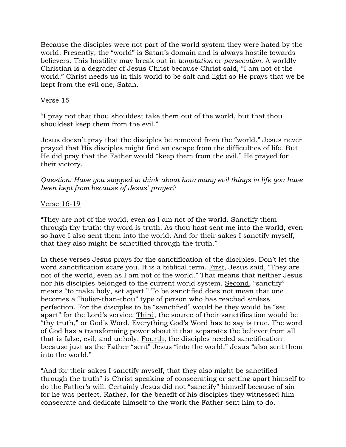Because the disciples were not part of the world system they were hated by the world. Presently, the "world" is Satan's domain and is always hostile towards believers. This hostility may break out in *temptation* or *persecution*. A worldly Christian is a degrader of Jesus Christ because Christ said, "I am not of the world." Christ needs us in this world to be salt and light so He prays that we be kept from the evil one, Satan.

#### Verse 15

"I pray not that thou shouldest take them out of the world, but that thou shouldest keep them from the evil."

Jesus doesn't pray that the disciples be removed from the "world." Jesus never prayed that His disciples might find an escape from the difficulties of life. But He did pray that the Father would "keep them from the evil." He prayed for their victory.

*Question: Have you stopped to think about how many evil things in life you have been kept from because of Jesus' prayer?* 

### Verse 16-19

"They are not of the world, even as I am not of the world. Sanctify them through thy truth: thy word is truth. As thou hast sent me into the world, even so have I also sent them into the world. And for their sakes I sanctify myself, that they also might be sanctified through the truth."

In these verses Jesus prays for the sanctification of the disciples. Don't let the word sanctification scare you. It is a biblical term. First, Jesus said, "They are not of the world, even as I am not of the world." That means that neither Jesus nor his disciples belonged to the current world system. Second, "sanctify" means "to make holy, set apart." To be sanctified does not mean that one becomes a "holier-than-thou" type of person who has reached sinless perfection. For the disciples to be "sanctified" would be they would be "set apart" for the Lord's service. Third, the source of their sanctification would be "thy truth," or God's Word. Everything God's Word has to say is true. The word of God has a transforming power about it that separates the believer from all that is false, evil, and unholy. Fourth, the disciples needed sanctification because just as the Father "sent" Jesus "into the world," Jesus "also sent them into the world."

"And for their sakes I sanctify myself, that they also might be sanctified through the truth" is Christ speaking of consecrating or setting apart himself to do the Father's will. Certainly Jesus did not "sanctify" himself because of sin for he was perfect. Rather, for the benefit of his disciples they witnessed him consecrate and dedicate himself to the work the Father sent him to do.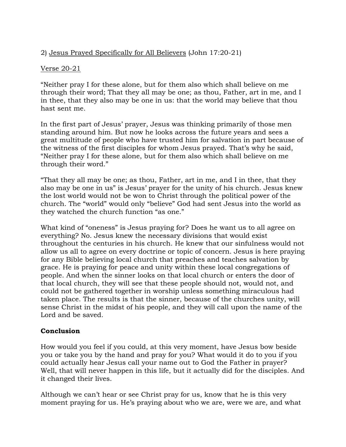# 2) Jesus Prayed Specifically for All Believers (John 17:20-21)

#### Verse 20-21

"Neither pray I for these alone, but for them also which shall believe on me through their word; That they all may be one; as thou, Father, art in me, and I in thee, that they also may be one in us: that the world may believe that thou hast sent me.

In the first part of Jesus' prayer, Jesus was thinking primarily of those men standing around him. But now he looks across the future years and sees a great multitude of people who have trusted him for salvation in part because of the witness of the first disciples for whom Jesus prayed. That's why he said, "Neither pray I for these alone, but for them also which shall believe on me through their word."

"That they all may be one; as thou, Father, art in me, and I in thee, that they also may be one in us" is Jesus' prayer for the unity of his church. Jesus knew the lost world would not be won to Christ through the political power of the church. The "world" would only "believe" God had sent Jesus into the world as they watched the church function "as one."

What kind of "oneness" is Jesus praying for? Does he want us to all agree on everything? No. Jesus knew the necessary divisions that would exist throughout the centuries in his church. He knew that our sinfulness would not allow us all to agree on every doctrine or topic of concern. Jesus is here praying for any Bible believing local church that preaches and teaches salvation by grace. He is praying for peace and unity within these local congregations of people. And when the sinner looks on that local church or enters the door of that local church, they will see that these people should not, would not, and could not be gathered together in worship unless something miraculous had taken place. The results is that the sinner, because of the churches unity, will sense Christ in the midst of his people, and they will call upon the name of the Lord and be saved.

# **Conclusion**

How would you feel if you could, at this very moment, have Jesus bow beside you or take you by the hand and pray for you? What would it do to you if you could actually hear Jesus call your name out to God the Father in prayer? Well, that will never happen in this life, but it actually did for the disciples. And it changed their lives.

Although we can't hear or see Christ pray for us, know that he is this very moment praying for us. He's praying about who we are, were we are, and what